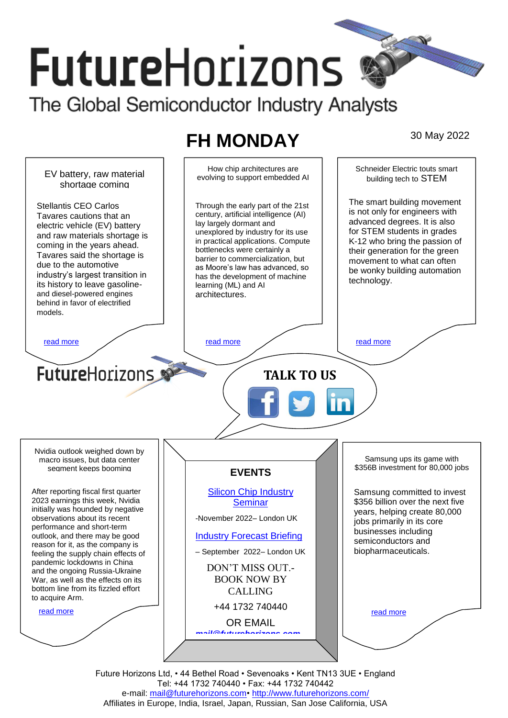# **FutureHorizons** The Global Semiconductor Industry Analysts

# **FH MONDAY** 30 May 2022



Future Horizons Ltd, • 44 Bethel Road • Sevenoaks • Kent TN13 3UE • England Tel: +44 1732 740440 • Fax: +44 1732 740442 e-mail: mail@futurehorizons.com• http://www.futurehorizons.com/ Affiliates in Europe, India, Israel, Japan, Russian, San Jose California, USA